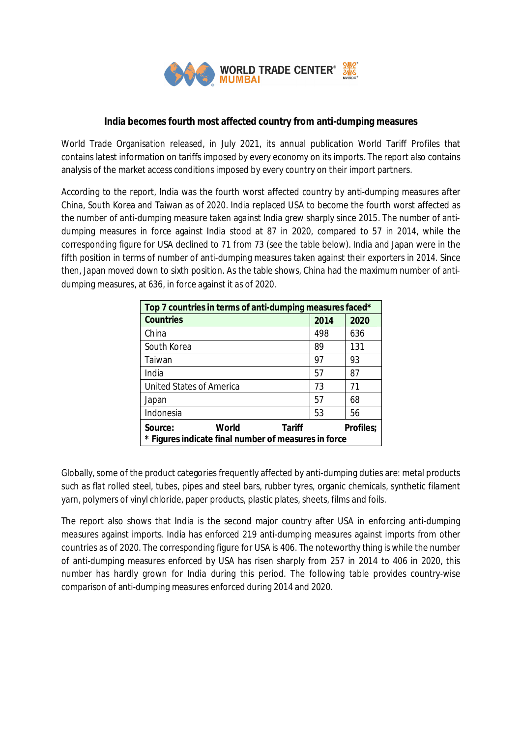

## **India becomes fourth most affected country from anti-dumping measures**

World Trade Organisation released, in July 2021, its annual publication World Tariff Profiles that contains latest information on tariffs imposed by every economy on its imports. The report also contains analysis of the market access conditions imposed by every country on their import partners.

According to the report, India was the fourth worst affected country by anti-dumping measures after China, South Korea and Taiwan as of 2020. India replaced USA to become the fourth worst affected as the number of anti-dumping measure taken against India grew sharply since 2015. The number of antidumping measures in force against India stood at 87 in 2020, compared to 57 in 2014, while the corresponding figure for USA declined to 71 from 73 (see the table below). India and Japan were in the fifth position in terms of number of anti-dumping measures taken against their exporters in 2014. Since then, Japan moved down to sixth position. As the table shows, China had the maximum number of antidumping measures, at 636, in force against it as of 2020.

| Top 7 countries in terms of anti-dumping measures faced*                                                      |      |      |  |
|---------------------------------------------------------------------------------------------------------------|------|------|--|
| <b>Countries</b>                                                                                              | 2014 | 2020 |  |
| China                                                                                                         | 498  | 636  |  |
| South Korea                                                                                                   | 89   | 131  |  |
| Taiwan                                                                                                        | 97   | 93   |  |
| India                                                                                                         | 57   | 87   |  |
| <b>United States of America</b>                                                                               | 73   | 71   |  |
| Japan                                                                                                         | 57   | 68   |  |
| Indonesia                                                                                                     | 53   | 56   |  |
| World<br><b>Tariff</b><br>Source:<br><b>Profiles;</b><br>* Figures indicate final number of measures in force |      |      |  |

Globally, some of the product categories frequently affected by anti-dumping duties are: metal products such as flat rolled steel, tubes, pipes and steel bars, rubber tyres, organic chemicals, synthetic filament yarn, polymers of vinyl chloride, paper products, plastic plates, sheets, films and foils.

The report also shows that India is the second major country after USA in enforcing anti-dumping measures against imports. India has enforced 219 anti-dumping measures against imports from other countries as of 2020. The corresponding figure for USA is 406. The noteworthy thing is while the number of anti-dumping measures enforced by USA has risen sharply from 257 in 2014 to 406 in 2020, this number has hardly grown for India during this period. The following table provides country-wise comparison of anti-dumping measures enforced during 2014 and 2020.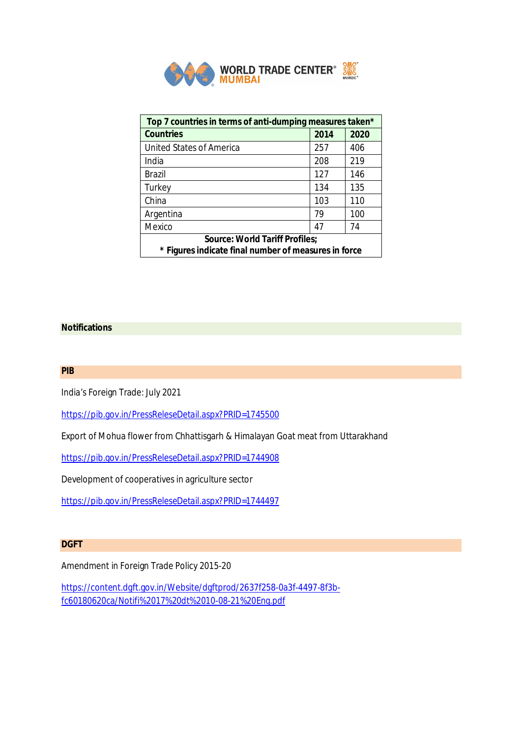

| Top 7 countries in terms of anti-dumping measures taken* |      |      |  |
|----------------------------------------------------------|------|------|--|
| <b>Countries</b>                                         | 2014 | 2020 |  |
| <b>United States of America</b>                          | 257  | 406  |  |
| India                                                    | 208  | 219  |  |
| <b>Brazil</b>                                            | 127  | 146  |  |
| Turkey                                                   | 134  | 135  |  |
| China                                                    | 103  | 110  |  |
| Argentina                                                | 79   | 100  |  |
| Mexico                                                   | 47   | 74   |  |
| <b>Source: World Tariff Profiles;</b>                    |      |      |  |
| * Figures indicate final number of measures in force     |      |      |  |

## **Notifications**

**PIB**

India's Foreign Trade: July 2021

https://pib.gov.in/PressReleseDetail.aspx?PRID=1745500

Export of Mohua flower from Chhattisgarh & Himalayan Goat meat from Uttarakhand

https://pib.gov.in/PressReleseDetail.aspx?PRID=1744908

Development of cooperatives in agriculture sector

https://pib.gov.in/PressReleseDetail.aspx?PRID=1744497

## **DGFT**

Amendment in Foreign Trade Policy 2015-20

https://content.dgft.gov.in/Website/dgftprod/2637f258-0a3f-4497-8f3bfc60180620ca/Notifi%2017%20dt%2010-08-21%20Eng.pdf